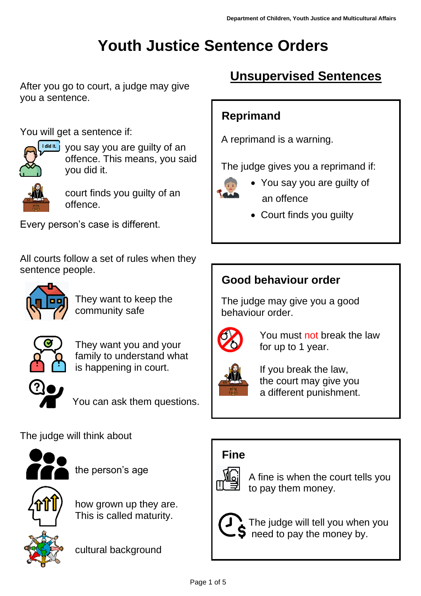# **Youth Justice Sentence Orders**

After you go to court, a judge may give you a sentence.

You will get a sentence if:



you say you are guilty of an offence. This means, you said you did it.



court finds you guilty of an offence.

Every person's case is different.

All courts follow a set of rules when they sentence people.



 They want to keep the community safe



They want you and your family to understand what is happening in court.



You can ask them questions.

#### The judge will think about



the person's age



 how grown up they are. This is called maturity.

cultural background

## **Unsupervised Sentences**

### **Reprimand**

A reprimand is a warning.

The judge gives you a reprimand if:



- You say you are guilty of an offence
- Court finds you guilty

## **Good behaviour order**

 The judge may give you a good behaviour order.



 You must not break the law for up to 1 year.



 If you break the law, the court may give you a different punishment.

## **Fine**



 A fine is when the court tells you to pay them money.



 The judge will tell you when you need to pay the money by.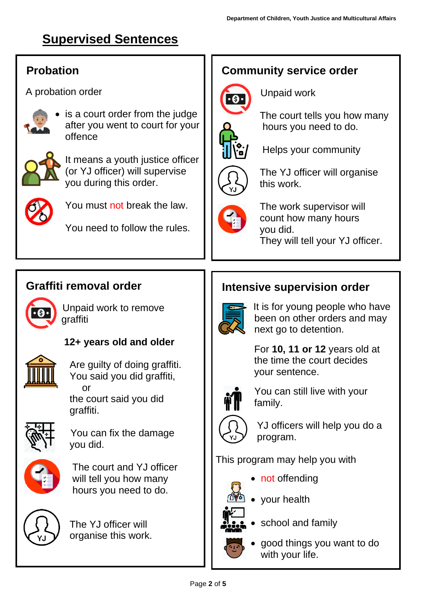## **Supervised Sentences**

#### **Probation**

A probation order



is a court order from the judge after you went to court for your offence



It means a youth justice officer (or YJ officer) will supervise you during this order.



You must not break the law.

You need to follow the rules.

#### **Community service order**



Unpaid work



 The court tells you how many hours you need to do.



Helps your community



 The YJ officer will organise this work.



 The work supervisor will count how many hours you did. They will tell your YJ officer.

### **Graffiti removal order**



 Unpaid work to remove graffiti



#### **12+ years old and older**

 Are guilty of doing graffiti. You said you did graffiti, or

 the court said you did graffiti.



 You can fix the damage you did.



 The court and YJ officer will tell you how many hours you need to do.



 The YJ officer will organise this work.

### **Intensive supervision order**



 It is for young people who have been on other orders and may next go to detention.

 For **10, 11 or 12** years old at the time the court decides your sentence.



 You can still live with your family.



 YJ officers will help you do a program.

This program may help you with





- 
- your health



school and family



• good things you want to do with your life.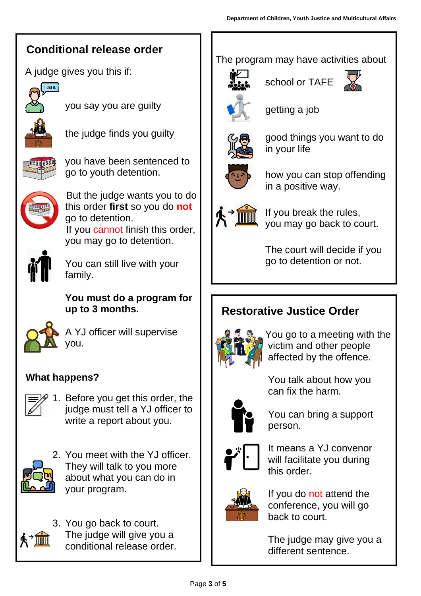## **Conditional release order**

A judge gives you this if:



you say you are guilty



the judge finds you guilty



you have been sentenced to go to youth detention.



 But the judge wants you to do this order **first** so you do **not** go to detention. If you cannot finish this order, you may go to detention.



You can still live with your family.

**You must do a program for up to 3 months.**



A YJ officer will supervise you.

#### **What happens?**



1. Before you get this order, the judge must tell a YJ officer to write a report about you.



2. You meet with the YJ officer. They will talk to you more about what you can do in your program.



3. You go back to court. The judge will give you a conditional release order.

#### The program may have activities about



school or TAFE





getting a job



 good things you want to do in your life



 how you can stop offending in a positive way.



 If you break the rules, you may go back to court.

 The court will decide if you go to detention or not.

## **Restorative Justice Order**



 You go to a meeting with the victim and other people affected by the offence.



 You can bring a support person.

You talk about how you



 It means a YJ convenor will facilitate you during this order.



 If you do not attend the conference, you will go back to court.

 The judge may give you a different sentence.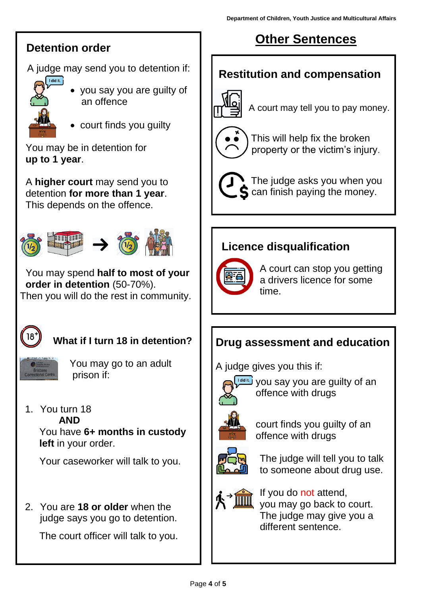#### **Detention order**

A judge may send you to detention if:



- you say you are guilty of an offence
- court finds you guilty

 You may be in detention for **up to 1 year**.

 A **higher court** may send you to detention **for more than 1 year**. This depends on the offence.



 You may spend **half to most of your order in detention** (50-70%). Then you will do the rest in community.



### **What if I turn 18 in detention?**



 You may go to an adult prison if:

1. You turn 18

**AND**

 You have **6+ months in custody left** in your order.

Your caseworker will talk to you.

2. You are **18 or older** when the judge says you go to detention.

The court officer will talk to you.

## **Other Sentences**

#### **Restitution and compensation**



A court may tell you to pay money.



 This will help fix the broken property or the victim's injury.

 The judge asks you when you  **can finish paying the money.** 

## **Licence disqualification**



 A court can stop you getting a drivers licence for some time.

## **Drug assessment and education**

A judge gives you this if:



you say you are guilty of an offence with drugs



court finds you guilty of an offence with drugs



 The judge will tell you to talk to someone about drug use.



 If you do not attend, you may go back to court. The judge may give you a different sentence.